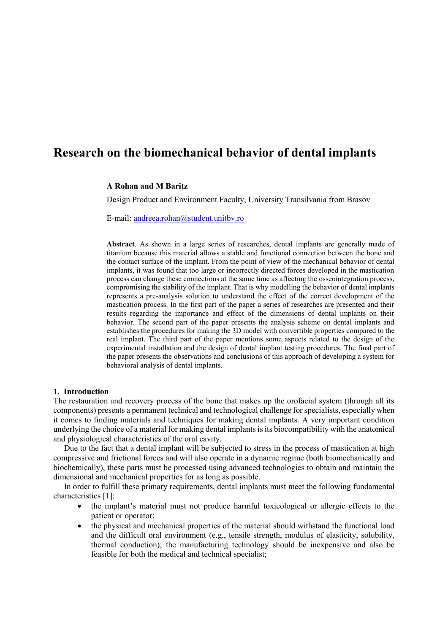# **Research on the biomechanical behavior of dental implants**

## **A Rohan and M Baritz**

Design Product and Environment Faculty, University Transilvania from Brasov

E-mail: [andreea.rohan@student.unitbv.ro](mailto:andreea.rohan@student.unitbv.ro)

**Abstract**. As shown in a large series of researches, dental implants are generally made of titanium because this material allows a stable and functional connection between the bone and the contact surface of the implant. From the point of view of the mechanical behavior of dental implants, it was found that too large or incorrectly directed forces developed in the mastication process can change these connections at the same time as affecting the osseointegration process, compromising the stability of the implant. That is why modelling the behavior of dental implants represents a pre-analysis solution to understand the effect of the correct development of the mastication process. In the first part of the paper a series of researches are presented and their results regarding the importance and effect of the dimensions of dental implants on their behavior. The second part of the paper presents the analysis scheme on dental implants and establishes the procedures for making the 3D model with convertible properties compared to the real implant. The third part of the paper mentions some aspects related to the design of the experimental installation and the design of dental implant testing procedures. The final part of the paper presents the observations and conclusions of this approach of developing a system for behavioral analysis of dental implants.

## **1. Introduction**

The restauration and recovery process of the bone that makes up the orofacial system (through all its components) presents a permanent technical and technological challenge for specialists, especially when it comes to finding materials and techniques for making dental implants. A very important condition underlying the choice of a material for making dental implants is its biocompatibility with the anatomical and physiological characteristics of the oral cavity.

Due to the fact that a dental implant will be subjected to stress in the process of mastication at high compressive and frictional forces and will also operate in a dynamic regime (both biomechanically and biochemically), these parts must be processed using advanced technologies to obtain and maintain the dimensional and mechanical properties for as long as possible.

In order to fulfill these primary requirements, dental implants must meet the following fundamental characteristics [1]:

- the implant's material must not produce harmful toxicological or allergic effects to the patient or operator;
- the physical and mechanical properties of the material should withstand the functional load and the difficult oral environment (e.g., tensile strength, modulus of elasticity, solubility, thermal conduction); the manufacturing technology should be inexpensive and also be feasible for both the medical and technical specialist;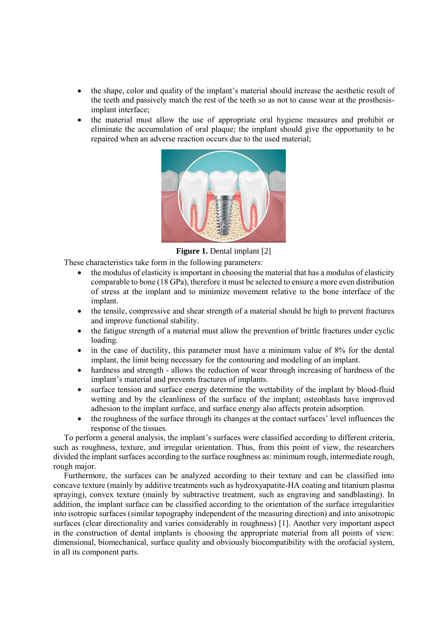- the shape, color and quality of the implant's material should increase the aesthetic result of the teeth and passively match the rest of the teeth so as not to cause wear at the prosthesisimplant interface;
- the material must allow the use of appropriate oral hygiene measures and prohibit or eliminate the accumulation of oral plaque; the implant should give the opportunity to be repaired when an adverse reaction occurs due to the used material;



**Figure 1.** Dental implant [2]

These characteristics take form in the following parameters:

- the modulus of elasticity is important in choosing the material that has a modulus of elasticity comparable to bone (18 GPa), therefore it must be selected to ensure a more even distribution of stress at the implant and to minimize movement relative to the bone interface of the implant.
- the tensile, compressive and shear strength of a material should be high to prevent fractures and improve functional stability.
- the fatigue strength of a material must allow the prevention of brittle fractures under cyclic loading.
- in the case of ductility, this parameter must have a minimum value of 8% for the dental implant, the limit being necessary for the contouring and modeling of an implant.
- hardness and strength allows the reduction of wear through increasing of hardness of the implant's material and prevents fractures of implants.
- surface tension and surface energy determine the wettability of the implant by blood-fluid wetting and by the cleanliness of the surface of the implant; osteoblasts have improved adhesion to the implant surface, and surface energy also affects protein adsorption.
- the roughness of the surface through its changes at the contact surfaces' level influences the response of the tissues.

To perform a general analysis, the implant's surfaces were classified according to different criteria, such as roughness, texture, and irregular orientation. Thus, from this point of view, the researchers divided the implant surfaces according to the surface roughness as: minimum rough, intermediate rough, rough major.

Furthermore, the surfaces can be analyzed according to their texture and can be classified into concave texture (mainly by additive treatments such as hydroxyapatite-HA coating and titanium plasma spraying), convex texture (mainly by subtractive treatment, such as engraving and sandblasting). In addition, the implant surface can be classified according to the orientation of the surface irregularities into isotropic surfaces (similar topography independent of the measuring direction) and into anisotropic surfaces (clear directionality and varies considerably in roughness) [1]. Another very important aspect in the construction of dental implants is choosing the appropriate material from all points of view: dimensional, biomechanical, surface quality and obviously biocompatibility with the orofacial system, in all its component parts.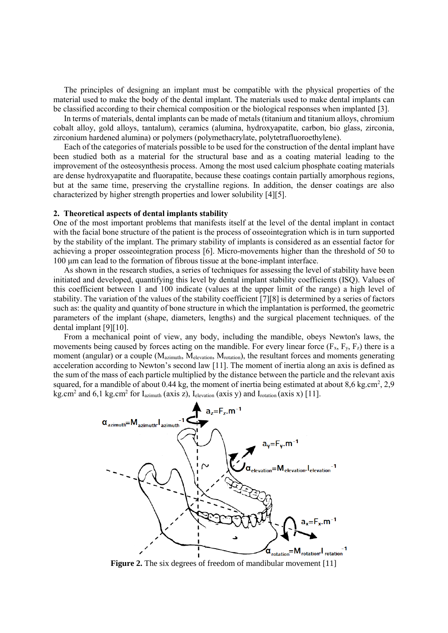The principles of designing an implant must be compatible with the physical properties of the material used to make the body of the dental implant. The materials used to make dental implants can be classified according to their chemical composition or the biological responses when implanted [3].

In terms of materials, dental implants can be made of metals (titanium and titanium alloys, chromium cobalt alloy, gold alloys, tantalum), ceramics (alumina, hydroxyapatite, carbon, bio glass, zirconia, zirconium hardened alumina) or polymers (polymethacrylate, polytetrafluoroethylene).

Each of the categories of materials possible to be used for the construction of the dental implant have been studied both as a material for the structural base and as a coating material leading to the improvement of the osteosynthesis process. Among the most used calcium phosphate coating materials are dense hydroxyapatite and fluorapatite, because these coatings contain partially amorphous regions, but at the same time, preserving the crystalline regions. In addition, the denser coatings are also characterized by higher strength properties and lower solubility [4][5].

### **2. Theoretical aspects of dental implants stability**

One of the most important problems that manifests itself at the level of the dental implant in contact with the facial bone structure of the patient is the process of osseointegration which is in turn supported by the stability of the implant. The primary stability of implants is considered as an essential factor for achieving a proper osseointegration process [6]. Micro-movements higher than the threshold of 50 to 100 μm can lead to the formation of fibrous tissue at the bone-implant interface.

As shown in the research studies, a series of techniques for assessing the level of stability have been initiated and developed, quantifying this level by dental implant stability coefficients (ISQ). Values of this coefficient between 1 and 100 indicate (values at the upper limit of the range) a high level of stability. The variation of the values of the stability coefficient [7][8] is determined by a series of factors such as: the quality and quantity of bone structure in which the implantation is performed, the geometric parameters of the implant (shape, diameters, lengths) and the surgical placement techniques. of the dental implant [9][10].

From a mechanical point of view, any body, including the mandible, obeys Newton's laws, the movements being caused by forces acting on the mandible. For every linear force  $(F_x, F_y, F_z)$  there is a moment (angular) or a couple  $(M_{azimuth}, M_{elevation}, M_{rotation})$ , the resultant forces and moments generating acceleration according to Newton's second law [11]. The moment of inertia along an axis is defined as the sum of the mass of each particle multiplied by the distance between the particle and the relevant axis squared, for a mandible of about 0.44 kg, the moment of inertia being estimated at about  $8,6$  kg.cm<sup>2</sup>, 2,9 kg.cm<sup>2</sup> and 6,1 kg.cm<sup>2</sup> for  $I_{azimuth}$  (axis z),  $I_{elevation}$  (axis y) and  $I_{rotation}$  (axis x) [11].



**Figure 2.** The six degrees of freedom of mandibular movement [11]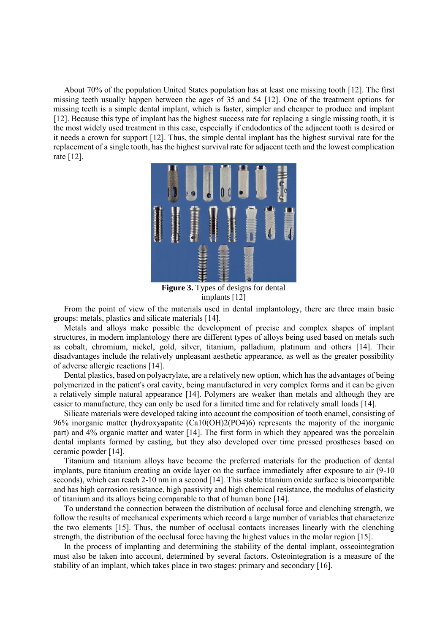About 70% of the population United States population has at least one missing tooth [12]. The first missing teeth usually happen between the ages of 35 and 54 [12]. One of the treatment options for missing teeth is a simple dental implant, which is faster, simpler and cheaper to produce and implant [12]. Because this type of implant has the highest success rate for replacing a single missing tooth, it is the most widely used treatment in this case, especially if endodontics of the adjacent tooth is desired or it needs a crown for support [12]. Thus, the simple dental implant has the highest survival rate for the replacement of a single tooth, has the highest survival rate for adjacent teeth and the lowest complication rate [12].



**Figure 3.** Types of designs for dental implants [12]

From the point of view of the materials used in dental implantology, there are three main basic groups: metals, plastics and silicate materials [14].

Metals and alloys make possible the development of precise and complex shapes of implant structures, in modern implantology there are different types of alloys being used based on metals such as cobalt, chromium, nickel, gold, silver, titanium, palladium, platinum and others [14]. Their disadvantages include the relatively unpleasant aesthetic appearance, as well as the greater possibility of adverse allergic reactions [14].

Dental plastics, based on polyacrylate, are a relatively new option, which has the advantages of being polymerized in the patient's oral cavity, being manufactured in very complex forms and it can be given a relatively simple natural appearance [14]. Polymers are weaker than metals and although they are easier to manufacture, they can only be used for a limited time and for relatively small loads [14].

Silicate materials were developed taking into account the composition of tooth enamel, consisting of 96% inorganic matter (hydroxyapatite (Ca10(OH)2(PO4)6) represents the majority of the inorganic part) and 4% organic matter and water [14]. The first form in which they appeared was the porcelain dental implants formed by casting, but they also developed over time pressed prostheses based on ceramic powder [14].

Titanium and titanium alloys have become the preferred materials for the production of dental implants, pure titanium creating an oxide layer on the surface immediately after exposure to air (9-10 seconds), which can reach 2-10 nm in a second [14]. This stable titanium oxide surface is biocompatible and has high corrosion resistance, high passivity and high chemical resistance, the modulus of elasticity of titanium and its alloys being comparable to that of human bone [14].

To understand the connection between the distribution of occlusal force and clenching strength, we follow the results of mechanical experiments which record a large number of variables that characterize the two elements [15]. Thus, the number of occlusal contacts increases linearly with the clenching strength, the distribution of the occlusal force having the highest values in the molar region [15].

In the process of implanting and determining the stability of the dental implant, osseointegration must also be taken into account, determined by several factors. Osteointegration is a measure of the stability of an implant, which takes place in two stages: primary and secondary [16].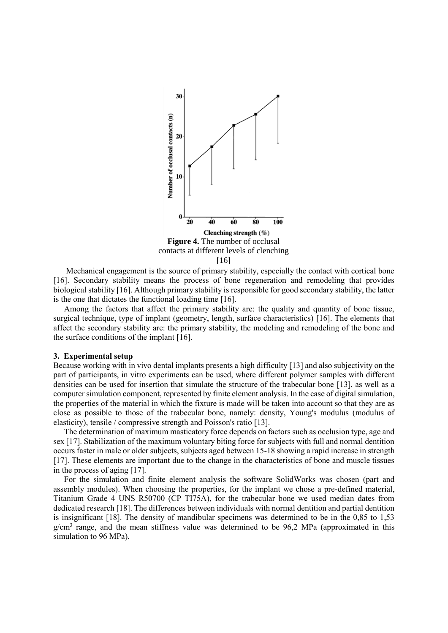

Mechanical engagement is the source of primary stability, especially the contact with cortical bone [16]. Secondary stability means the process of bone regeneration and remodeling that provides biological stability [16]. Although primary stability is responsible for good secondary stability, the latter is the one that dictates the functional loading time [16].

Among the factors that affect the primary stability are: the quality and quantity of bone tissue, surgical technique, type of implant (geometry, length, surface characteristics) [16]. The elements that affect the secondary stability are: the primary stability, the modeling and remodeling of the bone and the surface conditions of the implant [16].

#### **3. Experimental setup**

Because working with in vivo dental implants presents a high difficulty [13] and also subjectivity on the part of participants, in vitro experiments can be used, where different polymer samples with different densities can be used for insertion that simulate the structure of the trabecular bone [13], as well as a computer simulation component, represented by finite element analysis. In the case of digital simulation, the properties of the material in which the fixture is made will be taken into account so that they are as close as possible to those of the trabecular bone, namely: density, Young's modulus (modulus of elasticity), tensile / compressive strength and Poisson's ratio [13].

The determination of maximum masticatory force depends on factors such as occlusion type, age and sex [17]. Stabilization of the maximum voluntary biting force for subjects with full and normal dentition occurs faster in male or older subjects, subjects aged between 15-18 showing a rapid increase in strength [17]. These elements are important due to the change in the characteristics of bone and muscle tissues in the process of aging [17].

For the simulation and finite element analysis the software SolidWorks was chosen (part and assembly modules). When choosing the properties, for the implant we chose a pre-defined material, Titanium Grade 4 UNS R50700 (CP TI75A), for the trabecular bone we used median dates from dedicated research [18]. The differences between individuals with normal dentition and partial dentition is insignificant [18]. The density of mandibular specimens was determined to be in the 0,85 to 1,53  $g/cm<sup>3</sup>$  range, and the mean stiffness value was determined to be 96,2 MPa (approximated in this simulation to 96 MPa).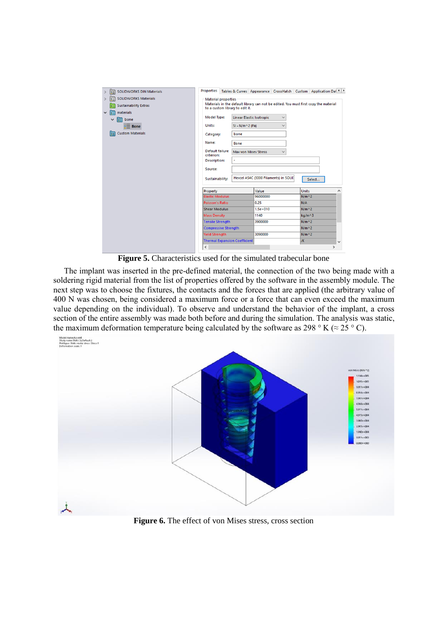| <b>SOLIDWORKS DIN Materials</b><br><b>RE</b><br>$\rightarrow$                                                                                                                                                | <b>Properties</b>                                                                                                                                                                                                                                   |                                                                         |                                 |                                              |              | Tables & Curves Appearance CrossHatch Custom Application Dal 1 > |               |
|--------------------------------------------------------------------------------------------------------------------------------------------------------------------------------------------------------------|-----------------------------------------------------------------------------------------------------------------------------------------------------------------------------------------------------------------------------------------------------|-------------------------------------------------------------------------|---------------------------------|----------------------------------------------|--------------|------------------------------------------------------------------|---------------|
| <b>SOLIDWORKS Materials</b><br><b>IE</b><br>$\rightarrow$<br><b>Sustainability Extras</b><br>盲<br>materials<br>$\checkmark$<br>$\mathbf{E}$ bone<br>$\checkmark$<br>$\equiv$ Bone<br><b>Custom Materials</b> | <b>Material properties</b><br>Materials in the default library can not be edited. You must first copy the material<br>to a custom library to edit it.<br><b>Model Type:</b><br>Units:<br>Category:<br>Name:<br><b>Default failure</b><br>criterion: | $SI - N/m^2$ (Pa)<br>bone<br><b>Bone</b><br><b>Max von Mises Stress</b> | <b>Linear Elastic Isotropic</b> | $\checkmark$<br>$\checkmark$<br>$\checkmark$ |              |                                                                  |               |
|                                                                                                                                                                                                              | <b>Description:</b><br>Source:<br>Sustainability:                                                                                                                                                                                                   | Hexcel AS4C (3000 Filaments) in SOLII<br>Select                         |                                 |                                              |              |                                                                  |               |
|                                                                                                                                                                                                              | Property                                                                                                                                                                                                                                            |                                                                         | Value                           |                                              | <b>Units</b> |                                                                  | $\wedge$      |
|                                                                                                                                                                                                              | <b>Elastic Modulus</b>                                                                                                                                                                                                                              |                                                                         |                                 | 96000000                                     |              | $N/m^2$                                                          |               |
|                                                                                                                                                                                                              | <b>Poisson's Ratio</b>                                                                                                                                                                                                                              |                                                                         |                                 | 0.25                                         |              |                                                                  |               |
|                                                                                                                                                                                                              | <b>Shear Modulus</b>                                                                                                                                                                                                                                |                                                                         |                                 | $1.5e + 010$                                 |              | $N/m^2$                                                          |               |
|                                                                                                                                                                                                              | <b>Mass Density</b>                                                                                                                                                                                                                                 |                                                                         |                                 | 1140                                         |              | kg/m^3                                                           |               |
|                                                                                                                                                                                                              |                                                                                                                                                                                                                                                     | <b>Tensile Strength</b>                                                 |                                 | 3900000                                      |              | $N/m^2$                                                          |               |
|                                                                                                                                                                                                              |                                                                                                                                                                                                                                                     | <b>Compressive Strength</b>                                             |                                 |                                              | $N/m^2$      |                                                                  |               |
|                                                                                                                                                                                                              | <b>Yield Strength</b>                                                                                                                                                                                                                               |                                                                         |                                 | 3090000                                      |              | $N/m^2$                                                          |               |
|                                                                                                                                                                                                              | <b>Thermal Expansion Coefficient</b>                                                                                                                                                                                                                |                                                                         |                                 |                                              | <b>I/K</b>   |                                                                  | $\checkmark$  |
|                                                                                                                                                                                                              | $\checkmark$                                                                                                                                                                                                                                        |                                                                         |                                 |                                              |              |                                                                  | $\mathcal{P}$ |

**Figure 5.** Characteristics used for the simulated trabecular bone

The implant was inserted in the pre-defined material, the connection of the two being made with a soldering rigid material from the list of properties offered by the software in the assembly module. The next step was to choose the fixtures, the contacts and the forces that are applied (the arbitrary value of 400 N was chosen, being considered a maximum force or a force that can even exceed the maximum value depending on the individual). To observe and understand the behavior of the implant, a cross section of the entire assembly was made both before and during the simulation. The analysis was static, the maximum deformation temperature being calculated by the software as 298 ° K ( $\approx$  25 ° C).



**Figure 6.** The effect of von Mises stress, cross section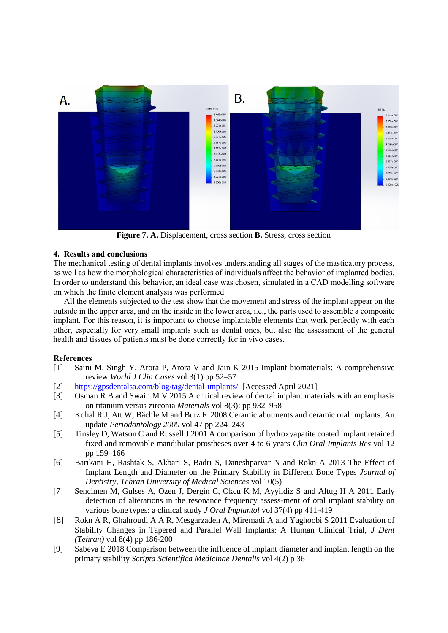

**Figure 7. A.** Displacement, cross section **B.** Stress, cross section

## **4. Results and conclusions**

The mechanical testing of dental implants involves understanding all stages of the masticatory process, as well as how the morphological characteristics of individuals affect the behavior of implanted bodies. In order to understand this behavior, an ideal case was chosen, simulated in a CAD modelling software on which the finite element analysis was performed.

All the elements subjected to the test show that the movement and stress of the implant appear on the outside in the upper area, and on the inside in the lower area, i.e., the parts used to assemble a composite implant. For this reason, it is important to choose implantable elements that work perfectly with each other, especially for very small implants such as dental ones, but also the assessment of the general health and tissues of patients must be done correctly for in vivo cases.

## **References**

- [1] Saini M, Singh Y, Arora P, Arora V and Jain K 2015 Implant biomaterials: A comprehensive review *World J Clin Cases* vol 3(1) pp 52–57
- [2] <https://gpsdentalsa.com/blog/tag/dental-implants/>[Accessed April 2021]
- [3] Osman R B and Swain M V 2015 A critical review of dental implant materials with an emphasis on titanium versus zirconia *Materials* vol 8(3): pp 932–958
- [4] Kohal R J, Att W, Bächle M and Butz F 2008 Ceramic abutments and ceramic oral implants. An update *Periodontology 2000* vol 47 pp 224–243
- [5] Tinsley D, Watson C and Russell J 2001 A comparison of hydroxyapatite coated implant retained fixed and removable mandibular prostheses over 4 to 6 years *Clin Oral Implants Res* vol 12 pp 159–166
- [6] Barikani H, Rashtak S, Akbari S, Badri S, Daneshparvar N and Rokn A 2013 The Effect of Implant Length and Diameter on the Primary Stability in Different Bone Types *Journal of Dentistry, Tehran University of Medical Sciences* vol 10(5)
- [7] Sencimen M, Gulses A, Ozen J, Dergin C, Okcu K M, Ayyildiz S and Altug H A 2011 Early detection of alterations in the resonance frequency assess-ment of oral implant stability on various bone types: a clinical study *J Oral Implantol* vol 37(4) pp 411-419
- [8] Rokn A R, Ghahroudi A A R, Mesgarzadeh A, Miremadi A and Yaghoobi S 2011 Evaluation of Stability Changes in Tapered and Parallel Wall Implants: A Human Clinical Trial, *J Dent (Tehran)* vol 8(4) pp 186-200
- [9] Sabeva E 2018 Comparison between the influence of implant diameter and implant length on the primary stability *Scripta Scientifica Medicinae Dentalis* vol 4(2) p 36